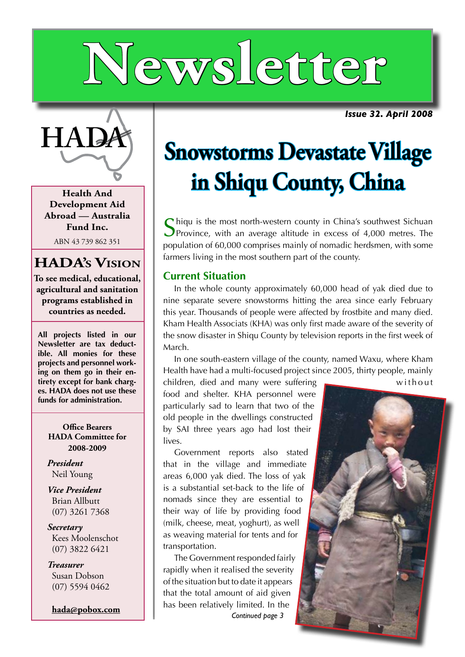# **Newsletter**

*Issue 32. April 2008*



**Health And Development Aid Abroad — Australia Fund Inc.**

ABN 43 739 862 351

#### **HADA's Vision**

**To see medical, educational, agricultural and sanitation programs established in countries as needed.**

**All projects listed in our Newsletter are tax deductible. All monies for these projects and personnel working on them go in their entirety except for bank charges. HADA does not use these funds for administration.**

> **Office Bearers HADA Committee for 2008-2009**

*President* Neil Young

*Vice President* Brian Allbutt (07) 3261 7368

*Secretary* Kees Moolenschot (07) 3822 6421

*Treasurer* Susan Dobson (07) 5594 0462

**hada@pobox.com**

## **HADA Snowstorms Devastate Village in Shiqu County, China**

 $\bigcap$  hiqu is the most north-western county in China's southwest Sichuan **P**rovince, with an average altitude in excess of 4,000 metres. The population of 60,000 comprises mainly of nomadic herdsmen, with some farmers living in the most southern part of the county.

#### **Current Situation**

In the whole county approximately 60,000 head of yak died due to nine separate severe snowstorms hitting the area since early February this year. Thousands of people were affected by frostbite and many died. Kham Health Associats (KHA) was only first made aware of the severity of the snow disaster in Shiqu County by television reports in the first week of March.

In one south-eastern village of the county, named Waxu, where Kham Health have had a multi-focused project since 2005, thirty people, mainly  $\alpha$  children, died and many were suffering w without

food and shelter. KHA personnel were particularly sad to learn that two of the old people in the dwellings constructed by SAI three years ago had lost their lives.

Government reports also stated that in the village and immediate areas 6,000 yak died. The loss of yak is a substantial set-back to the life of nomads since they are essential to their way of life by providing food (milk, cheese, meat, yoghurt), as well as weaving material for tents and for transportation.

The Government responded fairly rapidly when it realised the severity of the situation but to date it appears that the total amount of aid given has been relatively limited. In the *Continued page 3*

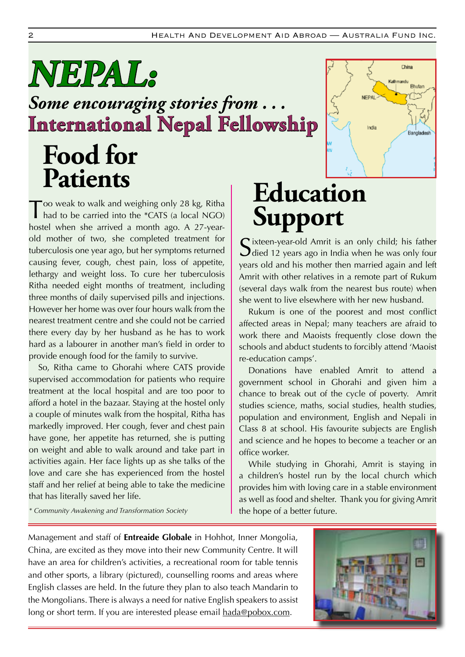## *Some encouraging stories from . . .* **Food for Patients NEPAL: International Nepal Fellowship**

Too weak to walk and weighing only 28 kg, Ritha had to be carried into the \*CATS (a local NGO) hostel when she arrived a month ago. A 27-yearold mother of two, she completed treatment for tuberculosis one year ago, but her symptoms returned causing fever, cough, chest pain, loss of appetite, lethargy and weight loss. To cure her tuberculosis Ritha needed eight months of treatment, including three months of daily supervised pills and injections. However her home was over four hours walk from the nearest treatment centre and she could not be carried there every day by her husband as he has to work hard as a labourer in another man's field in order to provide enough food for the family to survive.

So, Ritha came to Ghorahi where CATS provide supervised accommodation for patients who require treatment at the local hospital and are too poor to afford a hotel in the bazaar. Staying at the hostel only a couple of minutes walk from the hospital, Ritha has markedly improved. Her cough, fever and chest pain have gone, her appetite has returned, she is putting on weight and able to walk around and take part in activities again. Her face lights up as she talks of the love and care she has experienced from the hostel staff and her relief at being able to take the medicine that has literally saved her life.

## **Education Support**

 $\Gamma$  ixteen-year-old Amrit is an only child; his father **J** died 12 years ago in India when he was only four years old and his mother then married again and left Amrit with other relatives in a remote part of Rukum (several days walk from the nearest bus route) when she went to live elsewhere with her new husband.

China

**Bhutan** 

Banglades

.<br>athmandu

India

Rukum is one of the poorest and most conflict affected areas in Nepal; many teachers are afraid to work there and Maoists frequently close down the schools and abduct students to forcibly attend 'Maoist re-education camps'.

Donations have enabled Amrit to attend a government school in Ghorahi and given him a chance to break out of the cycle of poverty. Amrit studies science, maths, social studies, health studies, population and environment, English and Nepali in Class 8 at school. His favourite subjects are English and science and he hopes to become a teacher or an office worker.

While studying in Ghorahi, Amrit is staying in a children's hostel run by the local church which provides him with loving care in a stable environment as well as food and shelter. Thank you for giving Amrit the hope of a better future.

*\* Community Awakening and Transformation Society*

Management and staff of **Entreaide Globale** in Hohhot, Inner Mongolia, China, are excited as they move into their new Community Centre. It will have an area for children's activities, a recreational room for table tennis and other sports, a library (pictured), counselling rooms and areas where English classes are held. In the future they plan to also teach Mandarin to the Mongolians. There is always a need for native English speakers to assist long or short term. If you are interested please email hada@pobox.com.

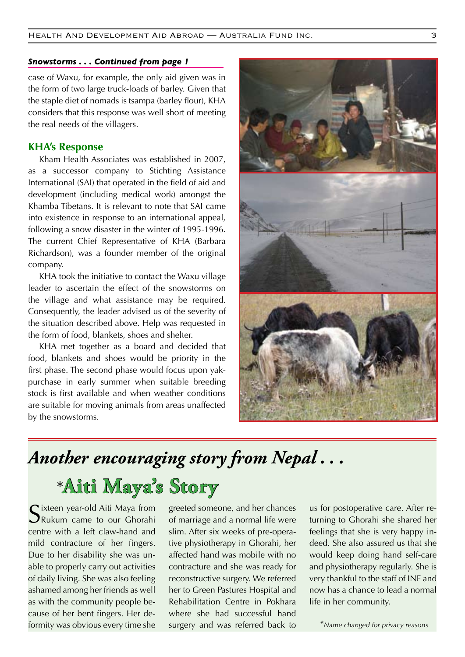#### *Snowstorms . . . Continued from page 1*

case of Waxu, for example, the only aid given was in the form of two large truck-loads of barley. Given that the staple diet of nomads is tsampa (barley flour), KHA considers that this response was well short of meeting the real needs of the villagers.

#### **KHA's Response**

Kham Health Associates was established in 2007, as a successor company to Stichting Assistance International (SAI) that operated in the field of aid and development (including medical work) amongst the Khamba Tibetans. It is relevant to note that SAI came into existence in response to an international appeal, following a snow disaster in the winter of 1995-1996. The current Chief Representative of KHA (Barbara Richardson), was a founder member of the original company.

KHA took the initiative to contact the Waxu village leader to ascertain the effect of the snowstorms on the village and what assistance may be required. Consequently, the leader advised us of the severity of the situation described above. Help was requested in the form of food, blankets, shoes and shelter.

KHA met together as a board and decided that food, blankets and shoes would be priority in the first phase. The second phase would focus upon yakpurchase in early summer when suitable breeding stock is first available and when weather conditions are suitable for moving animals from areas unaffected by the snowstorms.



### *Another encouraging story from Nepal . . .*

### \***Aiti Maya's Story**

 $\Gamma$  ixteen year-old Aiti Maya from Rukum came to our Ghorahi centre with a left claw-hand and mild contracture of her fingers. Due to her disability she was unable to properly carry out activities of daily living. She was also feeling ashamed among her friends as well as with the community people because of her bent fingers. Her deformity was obvious every time she surgery and was referred back to <sup>\*</sup>Name changed for privacy reasons

greeted someone, and her chances of marriage and a normal life were slim. After six weeks of pre-operative physiotherapy in Ghorahi, her affected hand was mobile with no contracture and she was ready for reconstructive surgery. We referred her to Green Pastures Hospital and Rehabilitation Centre in Pokhara where she had successful hand surgery and was referred back to

us for postoperative care. After returning to Ghorahi she shared her feelings that she is very happy indeed. She also assured us that she would keep doing hand self-care and physiotherapy regularly. She is very thankful to the staff of INF and now has a chance to lead a normal life in her community.